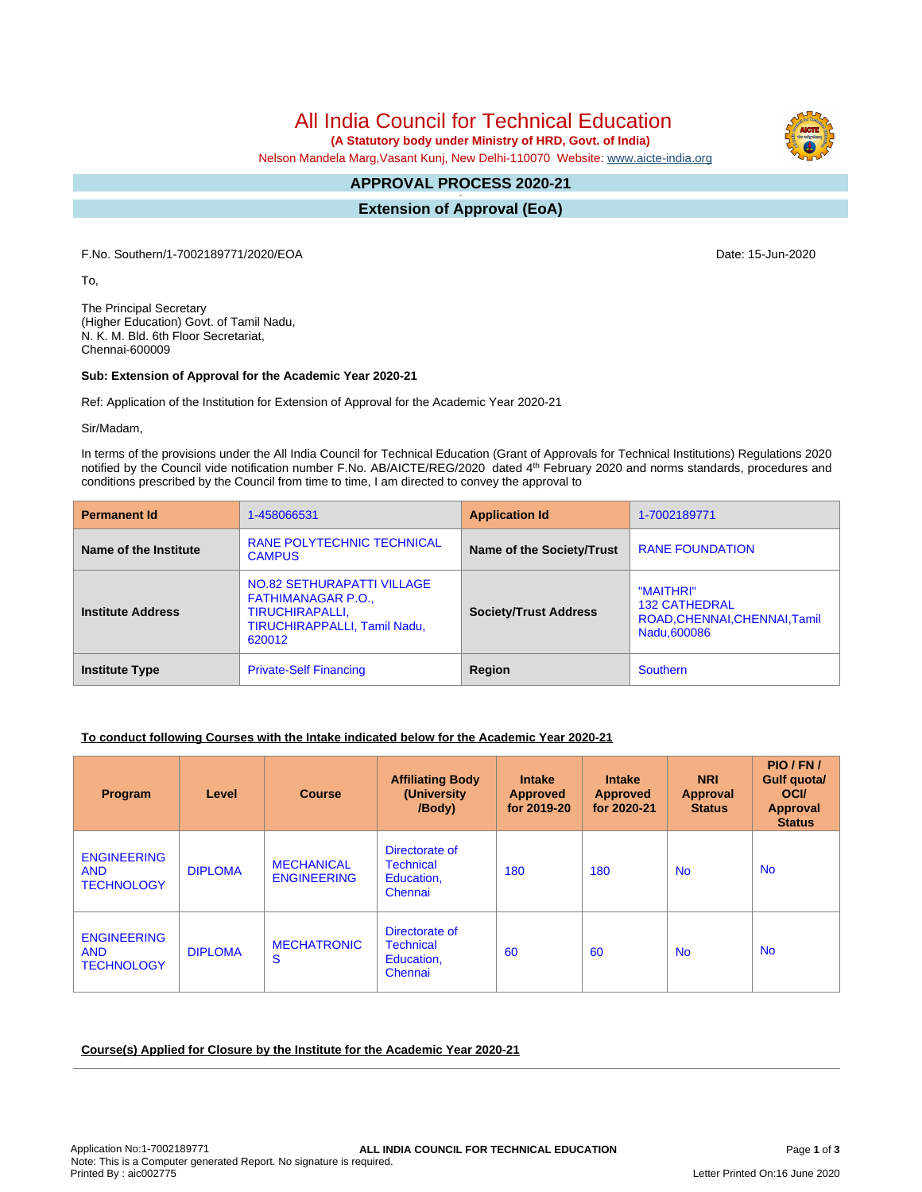All India Council for Technical Education

 **(A Statutory body under Ministry of HRD, Govt. of India)**

Nelson Mandela Marg,Vasant Kunj, New Delhi-110070 Website: [www.aicte-india.org](http://www.aicte-india.org)

#### **APPROVAL PROCESS 2020-21 -**

**Extension of Approval (EoA)**

F.No. Southern/1-7002189771/2020/EOA Date: 15-Jun-2020

To,

The Principal Secretary (Higher Education) Govt. of Tamil Nadu, N. K. M. Bld. 6th Floor Secretariat, Chennai-600009

#### **Sub: Extension of Approval for the Academic Year 2020-21**

Ref: Application of the Institution for Extension of Approval for the Academic Year 2020-21

Sir/Madam,

In terms of the provisions under the All India Council for Technical Education (Grant of Approvals for Technical Institutions) Regulations 2020 notified by the Council vide notification number F.No. AB/AICTE/REG/2020 dated 4<sup>th</sup> February 2020 and norms standards, procedures and conditions prescribed by the Council from time to time, I am directed to convey the approval to

| <b>Permanent Id</b>      | 1-458066531                                                                                                                 | <b>Application Id</b>        | 1-7002189771                                                                      |  |
|--------------------------|-----------------------------------------------------------------------------------------------------------------------------|------------------------------|-----------------------------------------------------------------------------------|--|
| Name of the Institute    | <b>RANE POLYTECHNIC TECHNICAL</b><br><b>CAMPUS</b>                                                                          | Name of the Society/Trust    | <b>RANE FOUNDATION</b>                                                            |  |
| <b>Institute Address</b> | NO.82 SETHURAPATTI VILLAGE<br><b>FATHIMANAGAR P.O.,</b><br><b>TIRUCHIRAPALLI,</b><br>TIRUCHIRAPPALLI, Tamil Nadu,<br>620012 | <b>Society/Trust Address</b> | "MAITHRI"<br><b>132 CATHEDRAL</b><br>ROAD, CHENNAI, CHENNAI, Tamil<br>Nadu,600086 |  |
| <b>Institute Type</b>    | <b>Private-Self Financing</b>                                                                                               | Region                       | <b>Southern</b>                                                                   |  |

## **To conduct following Courses with the Intake indicated below for the Academic Year 2020-21**

| Program                                               | Level          | <b>Course</b>                           | <b>Affiliating Body</b><br>(University)<br>/Body)           | <b>Intake</b><br><b>Approved</b><br>for 2019-20 | <b>Intake</b><br><b>Approved</b><br>for 2020-21 | <b>NRI</b><br>Approval<br><b>Status</b> | PIO/FN/<br><b>Gulf quotal</b><br><b>OCI</b><br><b>Approval</b><br><b>Status</b> |
|-------------------------------------------------------|----------------|-----------------------------------------|-------------------------------------------------------------|-------------------------------------------------|-------------------------------------------------|-----------------------------------------|---------------------------------------------------------------------------------|
| <b>ENGINEERING</b><br><b>AND</b><br><b>TECHNOLOGY</b> | <b>DIPLOMA</b> | <b>MECHANICAL</b><br><b>ENGINEERING</b> | Directorate of<br><b>Technical</b><br>Education,<br>Chennai | 180                                             | 180                                             | <b>No</b>                               | <b>No</b>                                                                       |
| <b>ENGINEERING</b><br><b>AND</b><br><b>TECHNOLOGY</b> | <b>DIPLOMA</b> | <b>MECHATRONIC</b><br>S                 | Directorate of<br><b>Technical</b><br>Education,<br>Chennai | 60                                              | 60                                              | <b>No</b>                               | <b>No</b>                                                                       |

**Course(s) Applied for Closure by the Institute for the Academic Year 2020-21**

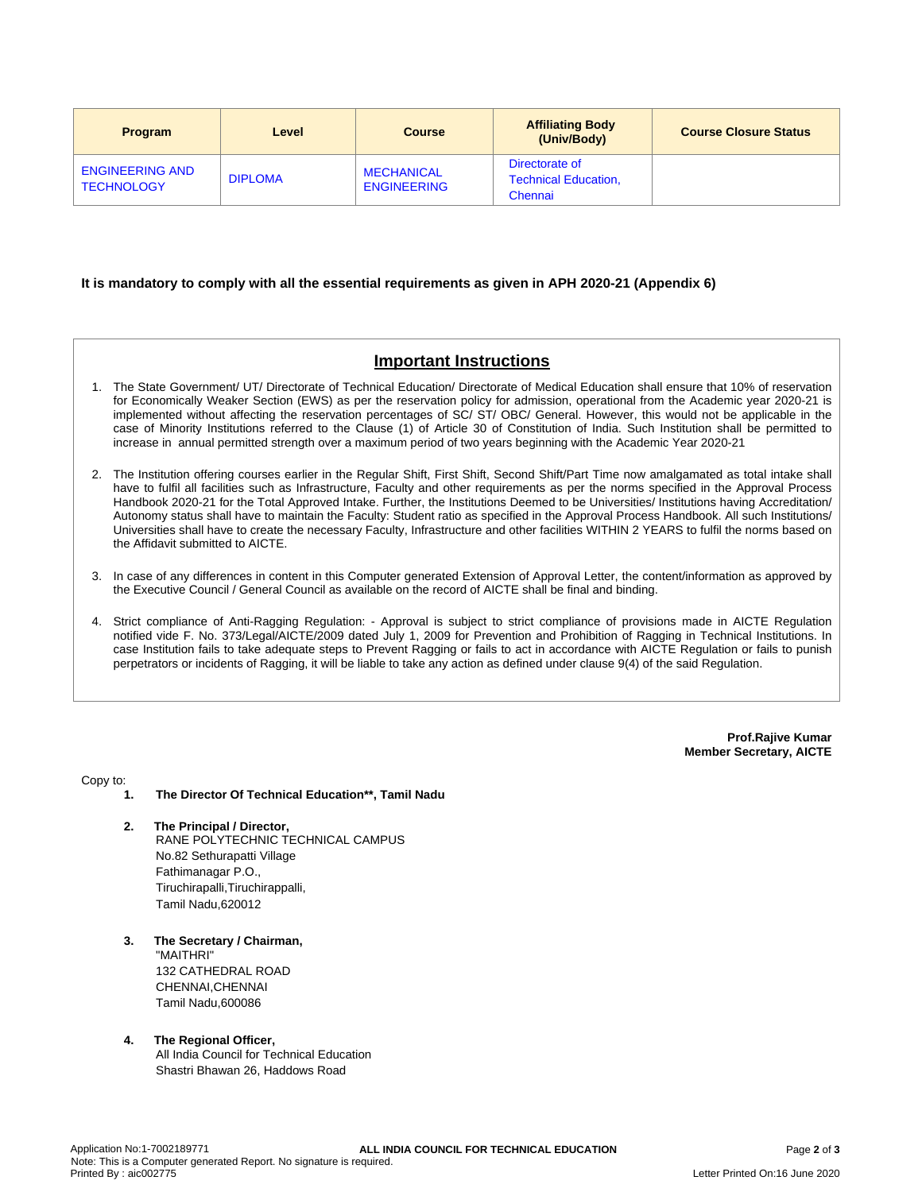| <b>Program</b>                              | Level          | <b>Course</b>                           | <b>Affiliating Body</b><br>(Univ/Body)                   | <b>Course Closure Status</b> |
|---------------------------------------------|----------------|-----------------------------------------|----------------------------------------------------------|------------------------------|
| <b>ENGINEERING AND</b><br><b>TECHNOLOGY</b> | <b>DIPLOMA</b> | <b>MECHANICAL</b><br><b>ENGINEERING</b> | Directorate of<br><b>Technical Education,</b><br>Chennai |                              |

### **It is mandatory to comply with all the essential requirements as given in APH 2020-21 (Appendix 6)**

# **Important Instructions**

- 1. The State Government/ UT/ Directorate of Technical Education/ Directorate of Medical Education shall ensure that 10% of reservation for Economically Weaker Section (EWS) as per the reservation policy for admission, operational from the Academic year 2020-21 is implemented without affecting the reservation percentages of SC/ ST/ OBC/ General. However, this would not be applicable in the case of Minority Institutions referred to the Clause (1) of Article 30 of Constitution of India. Such Institution shall be permitted to increase in annual permitted strength over a maximum period of two years beginning with the Academic Year 2020-21
- 2. The Institution offering courses earlier in the Regular Shift, First Shift, Second Shift/Part Time now amalgamated as total intake shall have to fulfil all facilities such as Infrastructure, Faculty and other requirements as per the norms specified in the Approval Process Handbook 2020-21 for the Total Approved Intake. Further, the Institutions Deemed to be Universities/ Institutions having Accreditation/ Autonomy status shall have to maintain the Faculty: Student ratio as specified in the Approval Process Handbook. All such Institutions/ Universities shall have to create the necessary Faculty, Infrastructure and other facilities WITHIN 2 YEARS to fulfil the norms based on the Affidavit submitted to AICTE.
- 3. In case of any differences in content in this Computer generated Extension of Approval Letter, the content/information as approved by the Executive Council / General Council as available on the record of AICTE shall be final and binding.
- 4. Strict compliance of Anti-Ragging Regulation: Approval is subject to strict compliance of provisions made in AICTE Regulation notified vide F. No. 373/Legal/AICTE/2009 dated July 1, 2009 for Prevention and Prohibition of Ragging in Technical Institutions. In case Institution fails to take adequate steps to Prevent Ragging or fails to act in accordance with AICTE Regulation or fails to punish perpetrators or incidents of Ragging, it will be liable to take any action as defined under clause 9(4) of the said Regulation.

**Prof.Rajive Kumar Member Secretary, AICTE**

Copy to:

- **1. The Director Of Technical Education\*\*, Tamil Nadu**
- **2. The Principal / Director,** RANE POLYTECHNIC TECHNICAL CAMPUS No.82 Sethurapatti Village Fathimanagar P.O., Tiruchirapalli,Tiruchirappalli, Tamil Nadu,620012
- **3. The Secretary / Chairman,** "MAITHRI" 132 CATHEDRAL ROAD CHENNAI,CHENNAI Tamil Nadu,600086
- **4. The Regional Officer,** All India Council for Technical Education Shastri Bhawan 26, Haddows Road